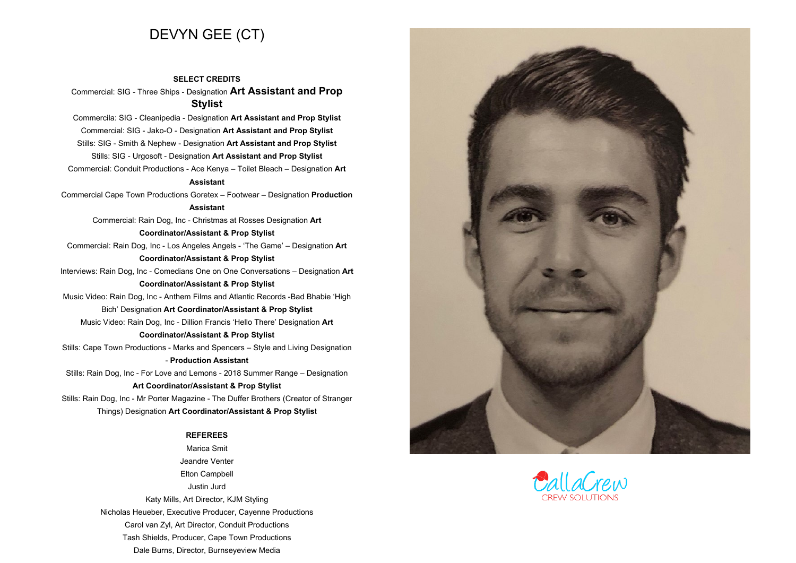# **DEVYN GEE (CT)**

**SELECT CREDITS Commercial: SIG - Three Ships - Designation Art Assistant and Prop Stylist**

**Commercila: SIG - Cleanipedia - Designation Art Assistant and Prop Stylist Commercial: SIG - Jako-O - Designation Art Assistant and Prop Stylist Stills: SIG - Smith & Nephew - Designation Art Assistant and Prop Stylist Stills: SIG - Urgosoft - Designation Art Assistant and Prop Stylist**

**Commercial: Conduit Productions - Ace Kenya – Toilet Bleach – Designation Art Assistant**

**Commercial Cape Town Productions Goretex – Footwear – Designation Production**

# **Assistant**

**Commercial: Rain Dog, Inc - Christmas at Rosses Designation Art**

### **Coordinator/Assistant & Prop Stylist**

**Commercial: Rain Dog, Inc - Los Angeles Angels - 'The Game' – Designation Art**

### **Coordinator/Assistant & Prop Stylist**

**Interviews: Rain Dog, Inc - Comedians One on One Conversations – Designation Art Coordinator/Assistant & Prop Stylist**

**Music Video: Rain Dog, Inc - Anthem Films and Atlantic Records -Bad Bhabie 'High Bich' Designation Art Coordinator/Assistant & Prop Stylist**

**Music Video: Rain Dog, Inc - Dillion Francis 'Hello There' Designation Art**

# **Coordinator/Assistant & Prop Stylist**

**Stills: Cape Town Productions - Marks and Spencers – Style and Living Designation - Production Assistant**

**Stills: Rain Dog, Inc - For Love and Lemons - <sup>2018</sup> Summer Range – Designation**

# **Art Coordinator/Assistant & Prop Stylist**

**Stills: Rain Dog, Inc - Mr Porter Magazine - The Duffer Brothers (Creator of Stranger Things) Designation Art Coordinator/Assistant & Prop Stylis<sup>t</sup>**

#### **REFEREES**

 **Marica Smit Jeandre Venter Elton Campbell Justin Jurd Katy Mills, Art Director, KJM Styling Nicholas Heueber, Executive Producer, Cayenne Productions Carol van Zyl, Art Director, Conduit Productions Tash Shields, Producer, Cape Town Productions Dale Burns, Director, Burnseyeview Media**